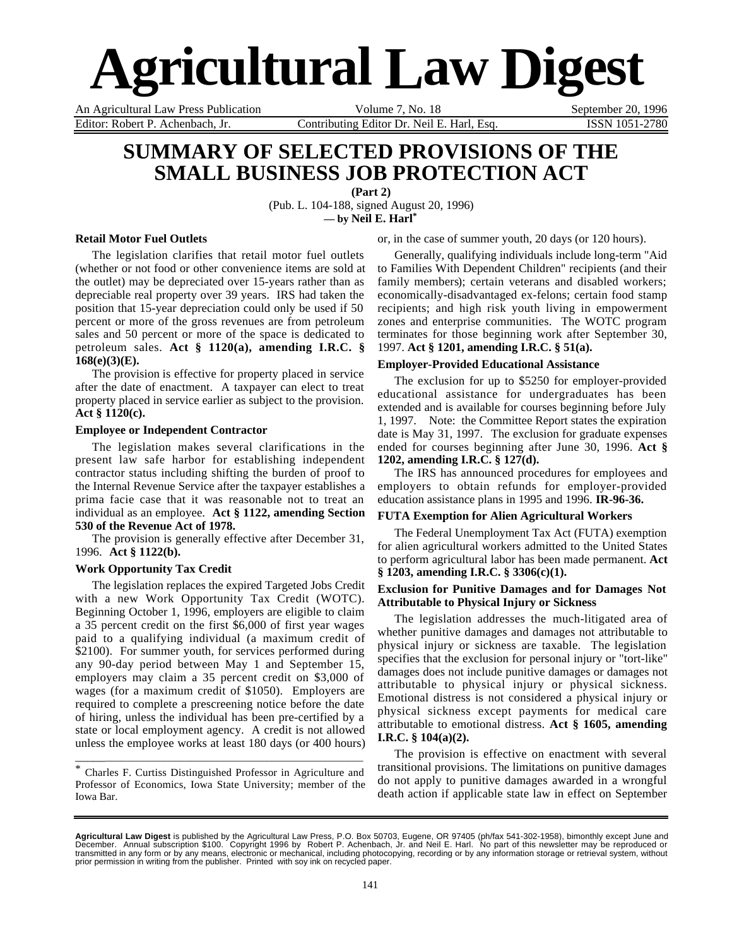# **Agricultural Law Digest**

An Agricultural Law Press Publication Volume 7, No. 18 September 20, 1996 Editor: Robert P. Achenbach, Jr. Contributing Editor Dr. Neil E. Harl, Esq. ISSN 1051-2780

# **SUMMARY OF SELECTED PROVISIONS OF THE SMALL BUSINESS JOB PROTECTION ACT**

**(Part 2)** (Pub. L. 104-188, signed August 20, 1996) **— by Neil E. Harl\***

**Retail Motor Fuel Outlets**

The legislation clarifies that retail motor fuel outlets (whether or not food or other convenience items are sold at the outlet) may be depreciated over 15-years rather than as depreciable real property over 39 years. IRS had taken the position that 15-year depreciation could only be used if 50 percent or more of the gross revenues are from petroleum sales and 50 percent or more of the space is dedicated to petroleum sales. **Act § 1120(a), amending I.R.C. § 168(e)(3)(E).**

The provision is effective for property placed in service after the date of enactment. A taxpayer can elect to treat property placed in service earlier as subject to the provision. **Act § 1120(c).**

# **Employee or Independent Contractor**

The legislation makes several clarifications in the present law safe harbor for establishing independent contractor status including shifting the burden of proof to the Internal Revenue Service after the taxpayer establishes a prima facie case that it was reasonable not to treat an individual as an employee. **Act § 1122, amending Section 530 of the Revenue Act of 1978.**

The provision is generally effective after December 31, 1996. **Act § 1122(b).**

# **Work Opportunity Tax Credit**

The legislation replaces the expired Targeted Jobs Credit with a new Work Opportunity Tax Credit (WOTC). Beginning October 1, 1996, employers are eligible to claim a 35 percent credit on the first \$6,000 of first year wages paid to a qualifying individual (a maximum credit of \$2100). For summer youth, for services performed during any 90-day period between May 1 and September 15, employers may claim a 35 percent credit on \$3,000 of wages (for a maximum credit of \$1050). Employers are required to complete a prescreening notice before the date of hiring, unless the individual has been pre-certified by a state or local employment agency. A credit is not allowed unless the employee works at least 180 days (or 400 hours)

\* Charles F. Curtiss Distinguished Professor in Agriculture and Professor of Economics, Iowa State University; member of the Iowa Bar.

\_\_\_\_\_\_\_\_\_\_\_\_\_\_\_\_\_\_\_\_\_\_\_\_\_\_\_\_\_\_\_\_\_\_\_\_\_\_\_\_\_\_\_\_\_\_\_\_\_\_\_\_\_

or, in the case of summer youth, 20 days (or 120 hours).

Generally, qualifying individuals include long-term "Aid to Families With Dependent Children" recipients (and their family members); certain veterans and disabled workers; economically-disadvantaged ex-felons; certain food stamp recipients; and high risk youth living in empowerment zones and enterprise communities. The WOTC program terminates for those beginning work after September 30, 1997. **Act § 1201, amending I.R.C. § 51(a).**

# **Employer-Provided Educational Assistance**

The exclusion for up to \$5250 for employer-provided educational assistance for undergraduates has been extended and is available for courses beginning before July 1, 1997. Note: the Committee Report states the expiration date is May 31, 1997. The exclusion for graduate expenses ended for courses beginning after June 30, 1996. **Act § 1202, amending I.R.C. § 127(d).**

The IRS has announced procedures for employees and employers to obtain refunds for employer-provided education assistance plans in 1995 and 1996. **IR-96-36.**

# **FUTA Exemption for Alien Agricultural Workers**

The Federal Unemployment Tax Act (FUTA) exemption for alien agricultural workers admitted to the United States to perform agricultural labor has been made permanent. **Act § 1203, amending I.R.C. § 3306(c)(1).**

# **Exclusion for Punitive Damages and for Damages Not Attributable to Physical Injury or Sickness**

The legislation addresses the much-litigated area of whether punitive damages and damages not attributable to physical injury or sickness are taxable. The legislation specifies that the exclusion for personal injury or "tort-like" damages does not include punitive damages or damages not attributable to physical injury or physical sickness. Emotional distress is not considered a physical injury or physical sickness except payments for medical care attributable to emotional distress. **Act § 1605, amending I.R.C. § 104(a)(2).**

The provision is effective on enactment with several transitional provisions. The limitations on punitive damages do not apply to punitive damages awarded in a wrongful death action if applicable state law in effect on September

**Agricultural Law Digest** is published by the Agricultural Law Press, P.O. Box 50703, Eugene, OR 97405 (ph/fax 541-302-1958), bimonthly except June and<br>December. Annual subscription \$100. Copyright 1996 by Robert P. Achenb transmitted in any form or by any means, electronic or mechanical, including photocopying, recording or by any information storage or retrieval system, without<br>prior permission in writing from the publisher. Printed with